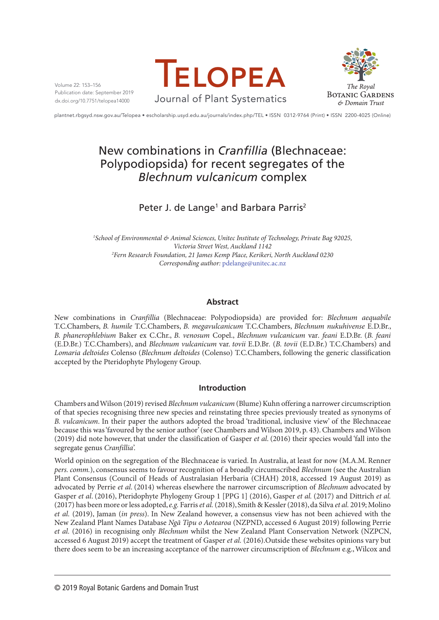Volume 22: 153–156 Publication date: September 2019 dx.doi.org/10.7751/telopea14000





plantnet.rbgsyd.nsw.gov.au/Telopea • escholarship.usyd.edu.au/journals/index.php/TEL • ISSN 0312-9764 (Print) • ISSN 2200-4025 (Online)

# New combinations in *Cranfillia* (Blechnaceae: Polypodiopsida) for recent segregates of the *Blechnum vulcanicum* complex

# Peter J. de Lange<sup>1</sup> and Barbara Parris<sup>2</sup>

*1 School of Environmental & Animal Sciences, Unitec Institute of Technology, Private Bag 92025, Victoria Street West, Auckland 1142 2 Fern Research Foundation, 21 James Kemp Place, Kerikeri, North Auckland 0230 Corresponding author:* [pdelange@unitec.ac.nz](mailto:pdelange@unitec.ac.nz)

## **Abstract**

New combinations in *Cranfillia* (Blechnaceae: Polypodiopsida) are provided for: *Blechnum aequabile* T.C.Chambers, *B. humile* T.C.Chambers, *B. megavulcanicum* T.C.Chambers, *Blechnum nukuhivense* E.D.Br., *B. phanerophlebium* Baker ex C.Chr., *B. venosum* Copel., *Blechnum vulcanicum* var*. feani* E.D.Br. (*B. feani* (E.D.Br.) T.C.Chambers), and *Blechnum vulcanicum* var. *tovii* E.D.Br*.* (*B. tovii* (E.D.Br.) T.C.Chambers) and *Lomaria deltoides* Colenso (*Blechnum deltoides* (Colenso) T.C.Chambers, following the generic classification accepted by the Pteridophyte Phylogeny Group.

### **Introduction**

Chambers and Wilson (2019) revised *Blechnum vulcanicum* (Blume) Kuhn offering a narrower circumscription of that species recognising three new species and reinstating three species previously treated as synonyms of *B. vulcanicum*. In their paper the authors adopted the broad 'traditional, inclusive view' of the Blechnaceae because this was 'favoured by the senior author' (see Chambers and Wilson 2019, p. 43). Chambers and Wilson (2019) did note however, that under the classification of Gasper *et al*. (2016) their species would 'fall into the segregate genus *Cranfillia*'.

World opinion on the segregation of the Blechnaceae is varied. In Australia, at least for now (M.A.M. Renner *pers. comm.*), consensus seems to favour recognition of a broadly circumscribed *Blechnum* (see the Australian Plant Consensus (Council of Heads of Australasian Herbaria (CHAH) 2018, accessed 19 August 2019) as advocated by Perrie *et al*. (2014) whereas elsewhere the narrower circumscription of *Blechnum* advocated by Gasper *et al*. (2016), Pteridophyte Phylogeny Group 1 [PPG 1] (2016), Gasper *et al.* (2017) and Dittrich *et al.*  (2017) has been more or less adopted, *e.g.* Farris *et al.* (2018), Smith & Kessler (2018), da Silva *et al.* 2019; Molino *et al.* (2019), Jaman (*in press*). In New Zealand however, a consensus view has not been achieved with the New Zealand Plant Names Database *Ngā Tipu o Aotearoa* (NZPND, accessed 6 August 2019) following Perrie *et al.* (2016) in recognising only *Blechnum* whilst the New Zealand Plant Conservation Network (NZPCN, accessed 6 August 2019) accept the treatment of Gasper *et al.* (2016).Outside these websites opinions vary but there does seem to be an increasing acceptance of the narrower circumscription of *Blechnum* e.g., Wilcox and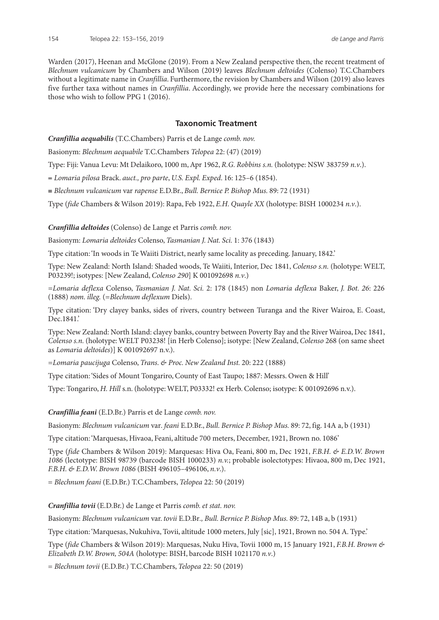Warden (2017), Heenan and McGlone (2019). From a New Zealand perspective then, the recent treatment of *Blechnum vulcanicum* by Chambers and Wilson (2019) leaves *Blechnum deltoides* (Colenso) T.C.Chambers without a legitimate name in *Cranfillia*. Furthermore, the revision by Chambers and Wilson (2019) also leaves five further taxa without names in *Cranfillia*. Accordingly, we provide here the necessary combinations for those who wish to follow PPG 1 (2016).

#### **Taxonomic Treatment**

*Cranfillia aequabilis* (T.C.Chambers) Parris et de Lange *comb. nov.*

Basionym: *Blechnum aequabile* T.C.Chambers *Telopea* 22: (47) (2019)

Type: Fiji: Vanua Levu: Mt Delaikoro, 1000 m, Apr 1962, *R.G. Robbins s.n.* (holotype: NSW 383759 *n.v*.).

= *Lomaria pilosa* Brack. *auct., pro parte*, *U.S. Expl. Exped*. 16: 125–6 (1854).

≡ *Blechnum vulcanicum* var *rapense* E.D.Br., *Bull. Bernice P. Bishop Mus.* 89: 72 (1931)

Type (*fide* Chambers & Wilson 2019): Rapa, Feb 1922, *E.H. Quayle XX* (holotype: BISH 1000234 *n.v*.).

*Cranfillia deltoides* (Colenso) de Lange et Parris *comb. nov.*

Basionym: *Lomaria deltoides* Colenso, *Tasmanian J. Nat. Sci.* 1: 376 (1843)

Type citation: 'In woods in Te Waiiti District, nearly same locality as preceding. January, 1842.'

Type: New Zealand: North Island: Shaded woods, Te Waiiti, Interior, Dec 1841, *Colenso s.n.* (holotype: WELT, P03239!; isotypes: [New Zealand, *Colenso 290*] K 001092698 *n.v*.)

*=Lomaria deflexa* Colenso, *Tasmanian J. Nat. Sci.* 2: 178 (1845) non *Lomaria deflexa* Baker, *J. Bot. 26*: 226 (1888) *nom. illeg.* (=*Blechnum deflexum* Diels).

Type citation: 'Dry clayey banks, sides of rivers, country between Turanga and the River Wairoa, E. Coast, Dec.1841.

Type: New Zealand: North Island: clayey banks, country between Poverty Bay and the River Wairoa, Dec 1841, *Colenso s.n.* (holotype: WELT P03238! [in Herb Colenso]; isotype: [New Zealand, *Colenso* 268 (on same sheet as *Lomaria deltoides*)] K 001092697 n.v.).

*=Lomaria paucijuga* Colenso, *Trans. & Proc. New Zealand Inst.* 20: 222 (1888)

Type citation: 'Sides of Mount Tongariro, County of East Taupo; 1887: Messrs. Owen & Hill'

Type: Tongariro, *H. Hill* s.n. (holotype: WELT, P03332! ex Herb. Colenso; isotype: K 001092696 n.v.).

*Cranfillia feani* (E.D.Br.) Parris et de Lange *comb. nov.*

Basionym: *Blechnum vulcanicum* var*. feani* E.D.Br., *Bull. Bernice P. Bishop Mus.* 89: 72, fig. 14A a, b (1931)

Type citation: 'Marquesas, Hivaoa, Feani, altitude 700 meters, December, 1921, Brown no. 1086'

Type (*fide* Chambers & Wilson 2019): Marquesas: Hiva Oa, Feani, 800 m, Dec 1921, *F.B.H. & E.D.W. Brown 1086* (lectotype: BISH 98739 (barcode BISH 1000233) *n.v.*; probable isolectotypes: Hivaoa, 800 m, Dec 1921, *F.B.H. & E.D.W. Brown 1086* (BISH 496105–496106, *n.v*.).

= *Blechnum feani* (E.D.Br.) T.C.Chambers, *Telopea* 22: 50 (2019)

*Cranfillia tovii* (E.D.Br.) de Lange et Parris *comb. et stat. nov.*

Basionym: *Blechnum vulcanicum* var. *tovii* E.D.Br*., Bull. Bernice P. Bishop Mus.* 89: 72, 14B a, b (1931)

Type citation: 'Marquesas, Nukuhiva, Tovii, altitude 1000 meters, July [sic], 1921, Brown no. 504 A. Type.'

Type (*fide* Chambers & Wilson 2019): Marquesas, Nuku Hiva, Tovii 1000 m, 15 January 1921, *F.B.H. Brown & Elizabeth D.W. Brown, 504A* (holotype: BISH, barcode BISH 1021170 *n.v*.)

= *Blechnum tovii* (E.D.Br.) T.C.Chambers, *Telopea* 22: 50 (2019)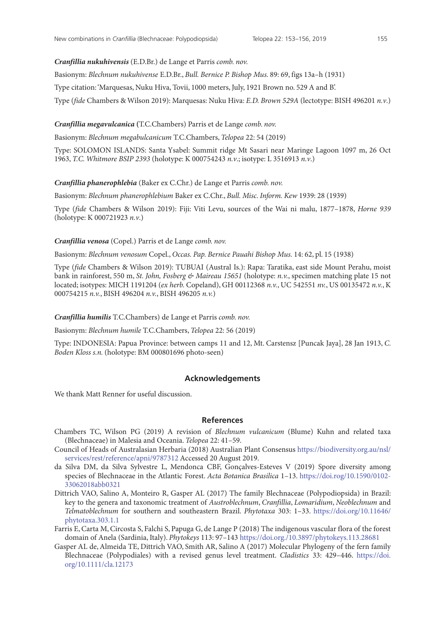#### *Cranfillia nukuhivensis* (E.D.Br.) de Lange et Parris *comb. nov.*

Basionym: *Blechnum nukuhivense* E.D.Br., *Bull. Bernice P. Bishop Mus.* 89: 69, figs 13a–h (1931)

Type citation: 'Marquesas, Nuku Hiva, Tovii, 1000 meters, July, 1921 Brown no. 529 A and B'.

Type (*fide* Chambers & Wilson 2019): Marquesas: Nuku Hiva: *E.D. Brown 529A* (lectotype: BISH 496201 *n.v*.)

#### *Cranfillia megavulcanica* **(**T.C.Chambers) Parris et de Lange *comb. nov.*

Basionym: *Blechnum megabulcanicum* T.C.Chambers, *Telopea* 22: 54 (2019)

Type: SOLOMON ISLANDS: Santa Ysabel: Summit ridge Mt Sasari near Maringe Lagoon 1097 m, 26 Oct 1963, *T.C. Whitmore BSIP 2393* (holotype: K 000754243 *n.v*.; isotype: L 3516913 *n.v*.)

#### *Cranfillia phanerophlebia* (Baker ex C.Chr.) de Lange et Parris *comb. nov.*

Basionym: *Blechnum phanerophlebium* Baker ex C.Chr., *Bull. Misc. Inform. Kew* 1939: 28 (1939)

Type (*fide* Chambers & Wilson 2019): Fiji: Viti Levu, sources of the Wai ni malu, 1877–1878, *Horne 939*  (holotype: K 000721923 *n.v*.)

#### *Cranfillia venosa* (Copel.) Parris et de Lange *comb. nov.*

Basionym: *Blechnum venosum* Copel., *Occas. Pap. Bernice Pauahi Bishop Mus.* 14: 62, pl. 15 (1938)

Type (*fide* Chambers & Wilson 2019): TUBUAI (Austral Is.): Rapa: Taratika, east side Mount Perahu, moist bank in rainforest, 550 m, *St. John, Fosberg & Maireau 15651* (holotype: *n.v.*, specimen matching plate 15 not located; isotypes: MICH 1191204 (*ex herb.* Copeland), GH 00112368 *n.v.*, UC 542551 *nv.*, US 00135472 *n.v.*, K 000754215 *n.v.*, BISH 496204 *n.v.*, BISH 496205 *n.v.*)

*Cranfillia humilis* T.C.Chambers) de Lange et Parris *comb. nov.*

Basionym: *Blechnum humile* T.C.Chambers, *Telopea* 22: 56 (2019)

Type: INDONESIA: Papua Province: between camps 11 and 12, Mt. Carstensz [Puncak Jaya], 28 Jan 1913, *C. Boden Kloss s.n.* (holotype: BM 000801696 photo-seen)

#### **Acknowledgements**

We thank Matt Renner for useful discussion.

#### **References**

- Chambers TC, Wilson PG (2019) A revision of *Blechnum vulcanicum* (Blume) Kuhn and related taxa (Blechnaceae) in Malesia and Oceania. *Telopea* 22: 41–59.
- Council of Heads of Australasian Herbaria (2018) Australian Plant Consensus [https://biodiversity.org.au/nsl/](https://biodiversity.org.au/nsl/services/rest/reference/apni/9787312) [services/rest/reference/apni/9787312](https://biodiversity.org.au/nsl/services/rest/reference/apni/9787312) Accessed 20 August 2019.
- da Silva DM, da Silva Sylvestre L, Mendonca CBF, Gonçalves-Esteves V (2019) Spore diversity among species of Blechnaceae in the Atlantic Forest. *Acta Botanica Brasilica* 1–13. [https://doi.rog/10.1590/0102-](https://doi.rog/10.1590/0102-33062018abb0321) [33062018abb0321](https://doi.rog/10.1590/0102-33062018abb0321)
- Dittrich VAO, Salino A, Monteiro R, Gasper AL (2017) The family Blechnaceae (Polypodiopsida) in Brazil: key to the genera and taxonomic treatment of *Austroblechnum*, *Cranfillia*, *Lomaridium*, *Neoblechnum* and *Telmatoblechnum* for southern and southeastern Brazil. *Phytotaxa* 303: 1–33. https://doi.org/10.11646/ phytotaxa.303.1.1
- Farris E, Carta M, Circosta S, Falchi S, Papuga G, de Lange P (2018) The indigenous vascular flora of the forest domain of Anela (Sardinia, Italy). *Phytokeys* 113: 97–143<https://doi.org./10.3897/phytokeys.113.28681>
- Gasper AL de, Almeida TE, Dittrich VAO, Smith AR, Salino A (2017) Molecular Phylogeny of the fern family Blechnaceae (Polypodiales) with a revised genus level treatment. *Cladistics* 33: 429–446. https://doi. org/10.1111/cla.12173